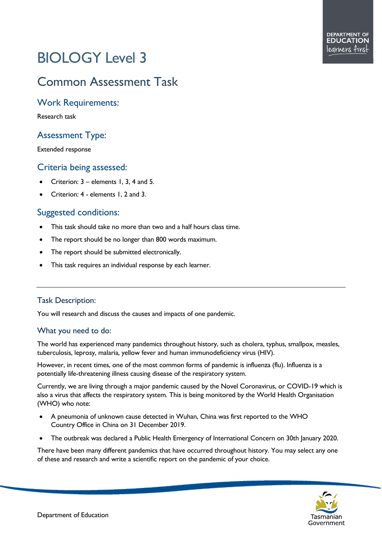# BIOLOGY Level 3

# Common Assessment Task

## Work Requirements:

Research task

# Assessment Type:

Extended response

### Criteria being assessed:

- Criterion: 3 elements 1, 3, 4 and 5.
- Criterion: 4 elements 1, 2 and 3.

# Suggested conditions:

- This task should take no more than two and a half hours class time.
- The report should be no longer than 800 words maximum.
- The report should be submitted electronically.
- This task requires an individual response by each learner.

#### Task Description:

You will research and discuss the causes and impacts of one pandemic.

#### What you need to do:

The world has experienced many pandemics throughout history, such as cholera, typhus, smallpox, measles, tuberculosis, leprosy, malaria, yellow fever and human immunodeficiency virus (HIV).

However, in recent times, one of the most common forms of pandemic is influenza (flu). Influenza is a potentially life-threatening illness causing disease of the respiratory system.

Currently, we are living through a major pandemic caused by the Novel Coronavirus, or COVID-19 which is also a virus that affects the respiratory system. This is being monitored by the World Health Organisation (WHO) who note:

- A pneumonia of unknown cause detected in Wuhan, China was first reported to the WHO Country Office in China on 31 December 2019.
- The outbreak was declared a Public Health Emergency of International Concern on 30th January 2020.

There have been many different pandemics that have occurred throughout history. You may select any one of these and research and write a scientific report on the pandemic of your choice.